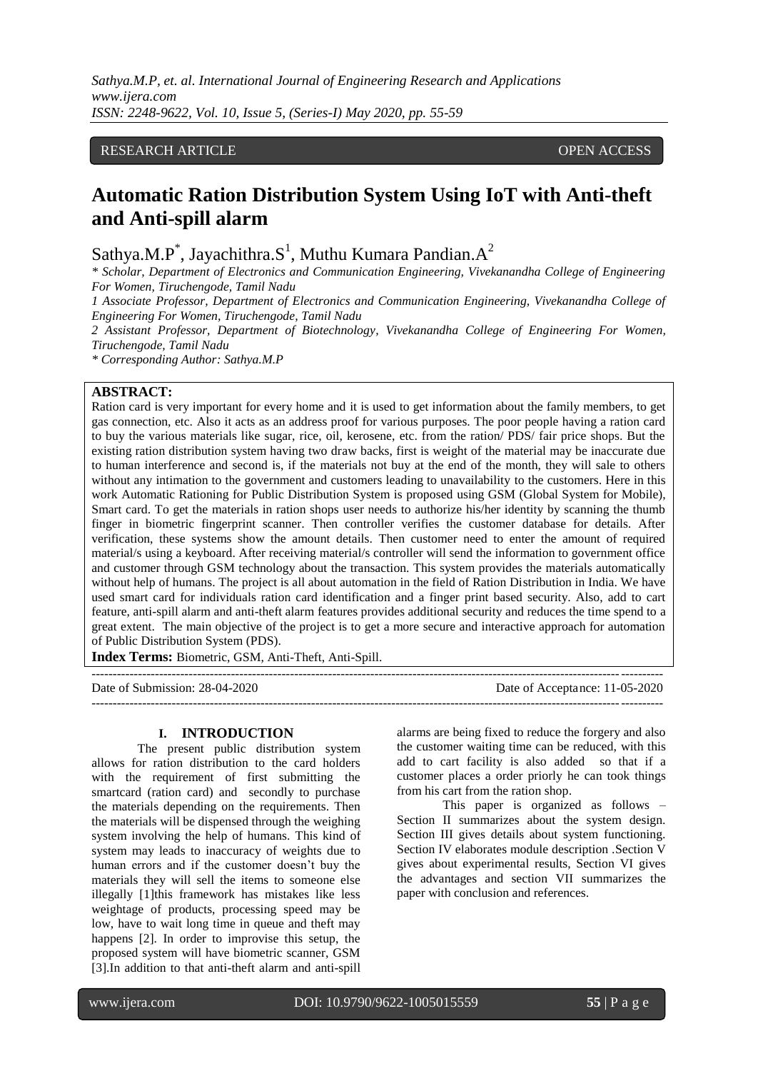## RESEARCH ARTICLE **CONSERVERS** OPEN ACCESS

# **Automatic Ration Distribution System Using IoT with Anti-theft and Anti-spill alarm**

Sathya.M.P\*, Jayachithra.S<sup>1</sup>, Muthu Kumara Pandian.A<sup>2</sup>

*\* Scholar, Department of Electronics and Communication Engineering, Vivekanandha College of Engineering For Women, Tiruchengode, Tamil Nadu*

*1 Associate Professor, Department of Electronics and Communication Engineering, Vivekanandha College of Engineering For Women, Tiruchengode, Tamil Nadu*

*2 Assistant Professor, Department of Biotechnology, Vivekanandha College of Engineering For Women, Tiruchengode, Tamil Nadu*

*\* Corresponding Author: Sathya.M.P*

#### **ABSTRACT:**

Ration card is very important for every home and it is used to get information about the family members, to get gas connection, etc. Also it acts as an address proof for various purposes. The poor people having a ration card to buy the various materials like sugar, rice, oil, kerosene, etc. from the ration/ PDS/ fair price shops. But the existing ration distribution system having two draw backs, first is weight of the material may be inaccurate due to human interference and second is, if the materials not buy at the end of the month, they will sale to others without any intimation to the government and customers leading to unavailability to the customers. Here in this work Automatic Rationing for Public Distribution System is proposed using GSM (Global System for Mobile), Smart card. To get the materials in ration shops user needs to authorize his/her identity by scanning the thumb finger in biometric fingerprint scanner. Then controller verifies the customer database for details. After verification, these systems show the amount details. Then customer need to enter the amount of required material/s using a keyboard. After receiving material/s controller will send the information to government office and customer through GSM technology about the transaction. This system provides the materials automatically without help of humans. The project is all about automation in the field of Ration Distribution in India. We have used smart card for individuals ration card identification and a finger print based security. Also, add to cart feature, anti-spill alarm and anti-theft alarm features provides additional security and reduces the time spend to a great extent. The main objective of the project is to get a more secure and interactive approach for automation of Public Distribution System (PDS).

---------------------------------------------------------------------------------------------------------------------------------------

**Index Terms:** Biometric, GSM, Anti-Theft, Anti-Spill.

Date of Submission: 28-04-2020 Date of Acceptance: 11-05-2020 ---------------------------------------------------------------------------------------------------------------------------------------

#### **I. INTRODUCTION**

The present public distribution system allows for ration distribution to the card holders with the requirement of first submitting the smartcard (ration card) and secondly to purchase the materials depending on the requirements. Then the materials will be dispensed through the weighing system involving the help of humans. This kind of system may leads to inaccuracy of weights due to human errors and if the customer doesn't buy the materials they will sell the items to someone else illegally [1]this framework has mistakes like less weightage of products, processing speed may be low, have to wait long time in queue and theft may happens [2]. In order to improvise this setup, the proposed system will have biometric scanner, GSM [3].In addition to that anti-theft alarm and anti-spill alarms are being fixed to reduce the forgery and also the customer waiting time can be reduced, with this add to cart facility is also added so that if a customer places a order priorly he can took things from his cart from the ration shop.

This paper is organized as follows – Section II summarizes about the system design. Section III gives details about system functioning. Section IV elaborates module description .Section V gives about experimental results, Section VI gives the advantages and section VII summarizes the paper with conclusion and references.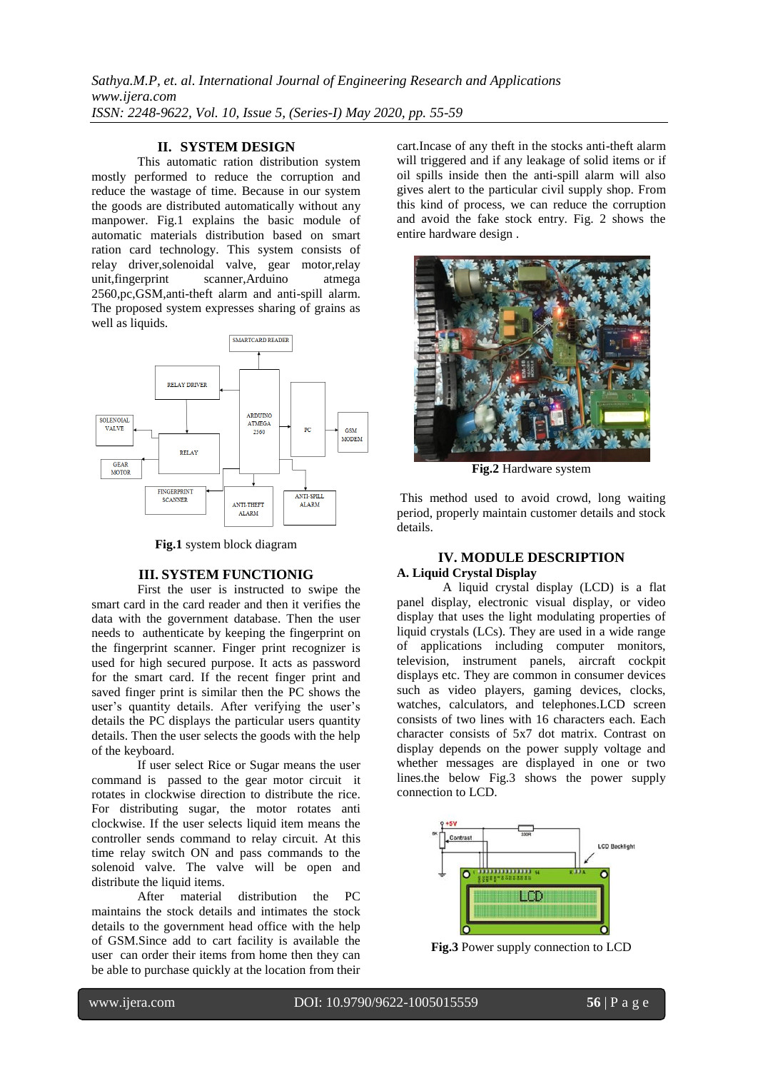*Sathya.M.P, et. al. International Journal of Engineering Research and Applications www.ijera.com ISSN: 2248-9622, Vol. 10, Issue 5, (Series-I) May 2020, pp. 55-59*

## **II. SYSTEM DESIGN**

This automatic ration distribution system mostly performed to reduce the corruption and reduce the wastage of time. Because in our system the goods are distributed automatically without any manpower. Fig.1 explains the basic module of automatic materials distribution based on smart ration card technology. This system consists of relay driver,solenoidal valve, gear motor,relay unit,fingerprint scanner,Arduino atmega 2560,pc,GSM,anti-theft alarm and anti-spill alarm. The proposed system expresses sharing of grains as well as liquids.



**Fig.1** system block diagram

#### **III. SYSTEM FUNCTIONIG**

First the user is instructed to swipe the smart card in the card reader and then it verifies the data with the government database. Then the user needs to authenticate by keeping the fingerprint on the fingerprint scanner. Finger print recognizer is used for high secured purpose. It acts as password for the smart card. If the recent finger print and saved finger print is similar then the PC shows the user's quantity details. After verifying the user's details the PC displays the particular users quantity details. Then the user selects the goods with the help of the keyboard.

If user select Rice or Sugar means the user command is passed to the gear motor circuit it rotates in clockwise direction to distribute the rice. For distributing sugar, the motor rotates anti clockwise. If the user selects liquid item means the controller sends command to relay circuit. At this time relay switch ON and pass commands to the solenoid valve. The valve will be open and distribute the liquid items.

After material distribution the PC maintains the stock details and intimates the stock details to the government head office with the help of GSM.Since add to cart facility is available the user can order their items from home then they can be able to purchase quickly at the location from their cart.Incase of any theft in the stocks anti-theft alarm will triggered and if any leakage of solid items or if oil spills inside then the anti-spill alarm will also gives alert to the particular civil supply shop. From this kind of process, we can reduce the corruption and avoid the fake stock entry. Fig. 2 shows the entire hardware design .



**Fig.2** Hardware system

This method used to avoid crowd, long waiting period, properly maintain customer details and stock details.

### **IV. MODULE DESCRIPTION A. Liquid Crystal Display**

A liquid crystal display (LCD) is a flat panel display, electronic visual display, or video display that uses the light modulating properties of liquid crystals (LCs). They are used in a wide range of applications including computer monitors, television, instrument panels, aircraft cockpit displays etc. They are common in consumer devices such as video players, gaming devices, clocks, watches, calculators, and telephones. LCD screen consists of two lines with 16 characters each. Each character consists of 5x7 dot matrix. Contrast on display depends on the power supply voltage and whether messages are displayed in one or two lines.the below Fig.3 shows the power supply connection to LCD.



**Fig.3** Power supply connection to LCD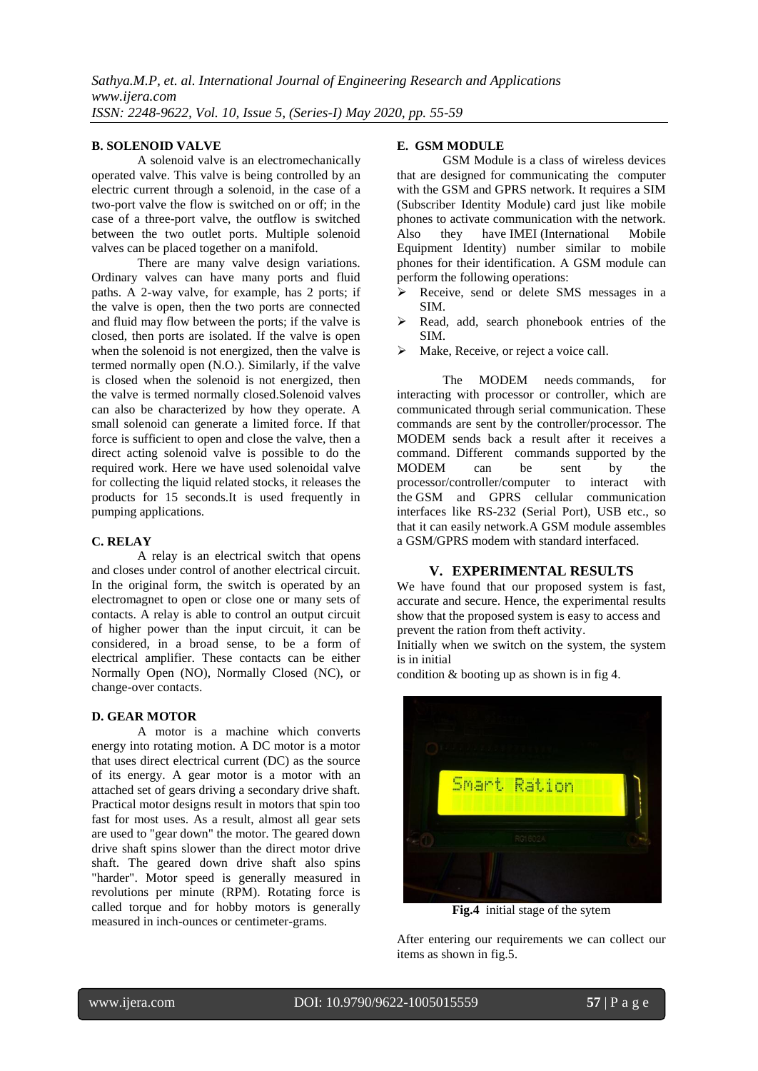#### **B. SOLENOID VALVE**

A solenoid valve is an electromechanically operated valve. This valve is being controlled by an electric current through a solenoid, in the case of a two-port valve the flow is switched on or off; in the case of a three-port valve, the outflow is switched between the two outlet ports. Multiple solenoid valves can be placed together on a manifold.

There are many valve design variations. Ordinary valves can have many ports and fluid paths. A 2-way valve, for example, has 2 ports; if the valve is open, then the two ports are connected and fluid may flow between the ports; if the valve is closed, then ports are isolated. If the valve is open when the solenoid is not energized, then the valve is termed normally open (N.O.). Similarly, if the valve is closed when the solenoid is not energized, then the valve is termed normally closed.Solenoid valves can also be characterized by how they operate. A small solenoid can generate a limited force. If that force is sufficient to open and close the valve, then a direct acting solenoid valve is possible to do the required work. Here we have used solenoidal valve for collecting the liquid related stocks, it releases the products for 15 seconds.It is used frequently in pumping applications.

#### **C. RELAY**

A relay is an electrical [switch](http://en.wikipedia.org/wiki/Switch) that opens and closes under control of another electrical circuit. In the original form, the switch is operated by an [electromagnet](http://en.wikipedia.org/wiki/Magnet) to open or close one or many sets of contacts. A relay is able to control an output circuit of higher power than the input circuit, it can be considered, in a broad sense, to be a form of electrical [amplifier.](http://en.wikipedia.org/wiki/Amplifier) These contacts can be either Normally Open (NO), Normally Closed (NC), or change-over contacts.

#### **D. GEAR MOTOR**

A motor is a machine which converts energy into rotating motion. A DC motor is a motor that uses direct electrical current (DC) as the source of its energy. A gear motor is a motor with an attached set of gears driving a secondary drive shaft. Practical motor designs result in motors that spin too fast for most uses. As a result, almost all gear sets are used to "gear down" the motor. The geared down drive shaft spins slower than the direct motor drive shaft. The geared down drive shaft also spins "harder". Motor speed is generally measured in revolutions per minute (RPM). Rotating force is called torque and for hobby motors is generally measured in inch-ounces or centimeter-grams.

#### **E. GSM MODULE**

GSM Module is a class of wireless devices that are designed for communicating the computer with the GSM and GPRS network. It requires a SIM (Subscriber Identity Module) card just like mobile phones to activate communication with the network. Also they have IMEI (International Mobile Equipment Identity) number similar to mobile phones for their identification. A GSM module can perform the following operations:

- Receive, send or delete SMS messages in a SIM.
- Read, add, search phonebook entries of the SIM.
- $\triangleright$  Make, Receive, or reject a voice call.

The MODEM needs commands, for interacting with processor or controller, which are communicated through serial communication. These commands are sent by the controller/processor. The MODEM sends back a result after it receives a command. Different commands supported by the MODEM can be sent by the processor/controller/computer to interact with the GSM and GPRS cellular communication interfaces like RS-232 (Serial Port), USB etc., so that it can easily network.A GSM module assembles a GSM/GPRS modem with standard interfaced.

#### **V. EXPERIMENTAL RESULTS**

We have found that our proposed system is fast, accurate and secure. Hence, the experimental results show that the proposed system is easy to access and prevent the ration from theft activity.

Initially when we switch on the system, the system is in initial

condition & booting up as shown is in fig 4.



**Fig.4** initial stage of the sytem

After entering our requirements we can collect our items as shown in fig.5.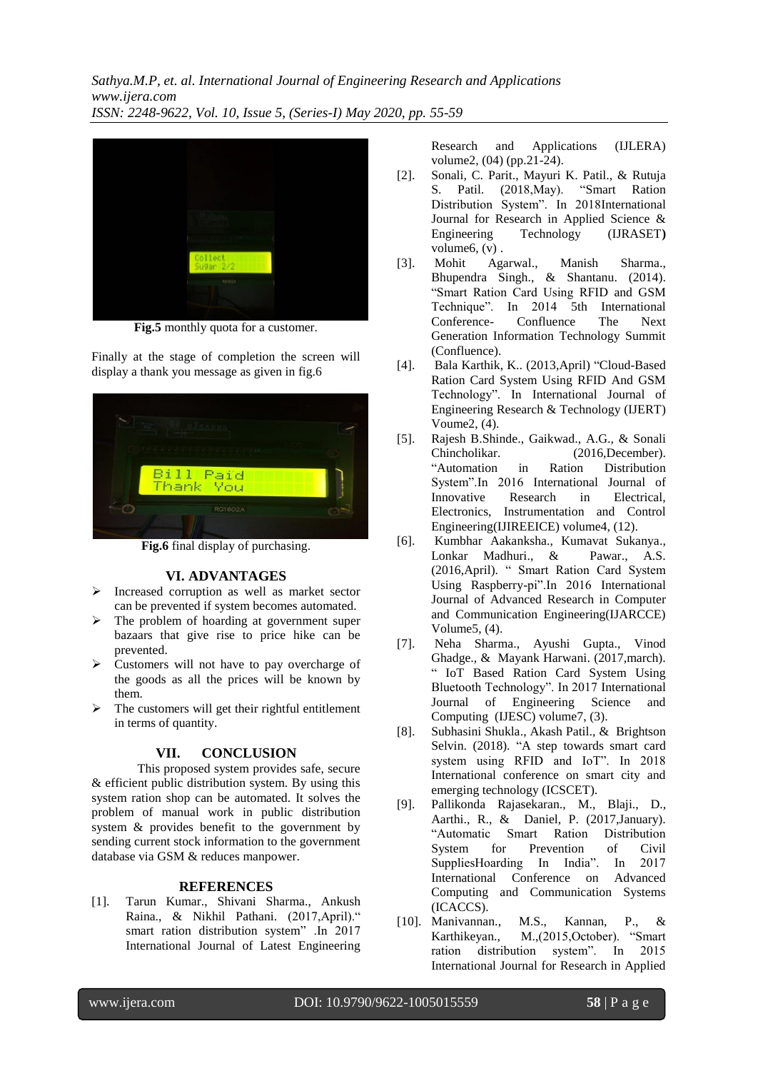*Sathya.M.P, et. al. International Journal of Engineering Research and Applications www.ijera.com ISSN: 2248-9622, Vol. 10, Issue 5, (Series-I) May 2020, pp. 55-59*



**Fig.5** monthly quota for a customer.

Finally at the stage of completion the screen will display a thank you message as given in fig.6



**Fig.6** final display of purchasing.

## **VI. ADVANTAGES**

- Increased corruption as well as market sector can be prevented if system becomes automated.
- > The problem of hoarding at government super bazaars that give rise to price hike can be prevented.
- $\triangleright$  Customers will not have to pay overcharge of the goods as all the prices will be known by them.
- $\triangleright$  The customers will get their rightful entitlement in terms of quantity.

#### **VII. CONCLUSION**

This proposed system provides safe, secure & efficient public distribution system. By using this system ration shop can be automated. It solves the problem of manual work in public distribution system & provides benefit to the government by sending current stock information to the government database via GSM & reduces manpower.

#### **REFERENCES**

[1]. Tarun Kumar., Shivani Sharma., Ankush Raina., & Nikhil Pathani. (2017,April)." smart ration distribution system" .In 2017 International Journal of Latest Engineering Research and Applications (IJLERA) volume2, (04) (pp.21-24).

- [2]. Sonali, C. Parit., Mayuri K. Patil., & Rutuja S. Patil. (2018,May). "Smart Ration Distribution System". In 2018International Journal for Research in Applied Science &<br>Engineering Technology (IJRASET) Engineering Technology (IJRASET**)** volume6, (v) .
- [3]. Mohit Agarwal., Manish Sharma., Bhupendra Singh., & Shantanu. (2014). "Smart Ration Card Using RFID and GSM Technique". In 2014 5th International Conference- Confluence The Next Generation Information Technology Summit (Confluence).
- [4]. Bala Karthik, K.. (2013,April) "Cloud-Based Ration Card System Using RFID And GSM Technology". In International Journal of Engineering Research & Technology (IJERT) Voume2, (4).
- [5]. Rajesh B.Shinde., Gaikwad., A.G., & Sonali Chincholikar. (2016,December). "Automation in Ration Distribution System".In 2016 International Journal of Innovative Research in Electrical, Electronics, Instrumentation and Control Engineering(IJIREEICE) volume4, (12).
- [6]. Kumbhar Aakanksha., Kumavat Sukanya., Lonkar Madhuri., & Pawar., A.S. (2016,April). " Smart Ration Card System Using Raspberry-pi".In 2016 International Journal of Advanced Research in Computer and Communication Engineering(IJARCCE) Volume5, (4).
- [7]. Neha Sharma., Ayushi Gupta., Vinod Ghadge., & Mayank Harwani. (2017,march). " IoT Based Ration Card System Using Bluetooth Technology". In 2017 International Journal of Engineering Science and Computing(IJESC) volume7, (3).
- [8]. Subhasini Shukla., Akash Patil., & Brightson Selvin. (2018). "A step towards smart card system using RFID and IoT". In 2018 International conference on smart city and emerging technology (ICSCET).
- [9]. Pallikonda Rajasekaran., M., Blaji., D., Aarthi., R., & Daniel, P. (2017,January). "Automatic Smart Ration Distribution System for Prevention of Civil SuppliesHoarding In India". In 2017 International Conference on Advanced Computing and Communication Systems (ICACCS).
- [10]. Manivannan., M.S., Kannan, P., & Karthikeyan., M.,(2015,October). "Smart ration distribution system". In 2015 International Journal for Research in Applied